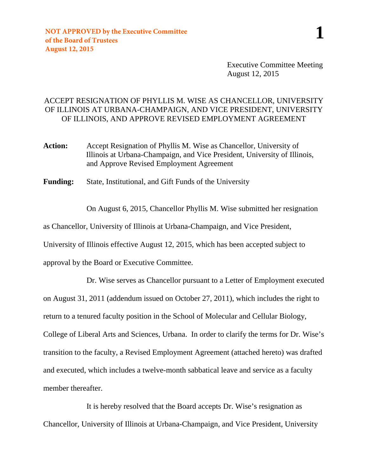Executive Committee Meeting August 12, 2015

## ACCEPT RESIGNATION OF PHYLLIS M. WISE AS CHANCELLOR, UNIVERSITY OF ILLINOIS AT URBANA-CHAMPAIGN, AND VICE PRESIDENT, UNIVERSITY OF ILLINOIS, AND APPROVE REVISED EMPLOYMENT AGREEMENT

- **Action:** Accept Resignation of Phyllis M. Wise as Chancellor, University of Illinois at Urbana-Champaign, and Vice President, University of Illinois, and Approve Revised Employment Agreement
- **Funding:** State, Institutional, and Gift Funds of the University

On August 6, 2015, Chancellor Phyllis M. Wise submitted her resignation

as Chancellor, University of Illinois at Urbana-Champaign, and Vice President,

University of Illinois effective August 12, 2015, which has been accepted subject to

approval by the Board or Executive Committee.

Dr. Wise serves as Chancellor pursuant to a Letter of Employment executed on August 31, 2011 (addendum issued on October 27, 2011), which includes the right to return to a tenured faculty position in the School of Molecular and Cellular Biology, College of Liberal Arts and Sciences, Urbana. In order to clarify the terms for Dr. Wise's transition to the faculty, a Revised Employment Agreement (attached hereto) was drafted and executed, which includes a twelve-month sabbatical leave and service as a faculty member thereafter.

It is hereby resolved that the Board accepts Dr. Wise's resignation as Chancellor, University of Illinois at Urbana-Champaign, and Vice President, University